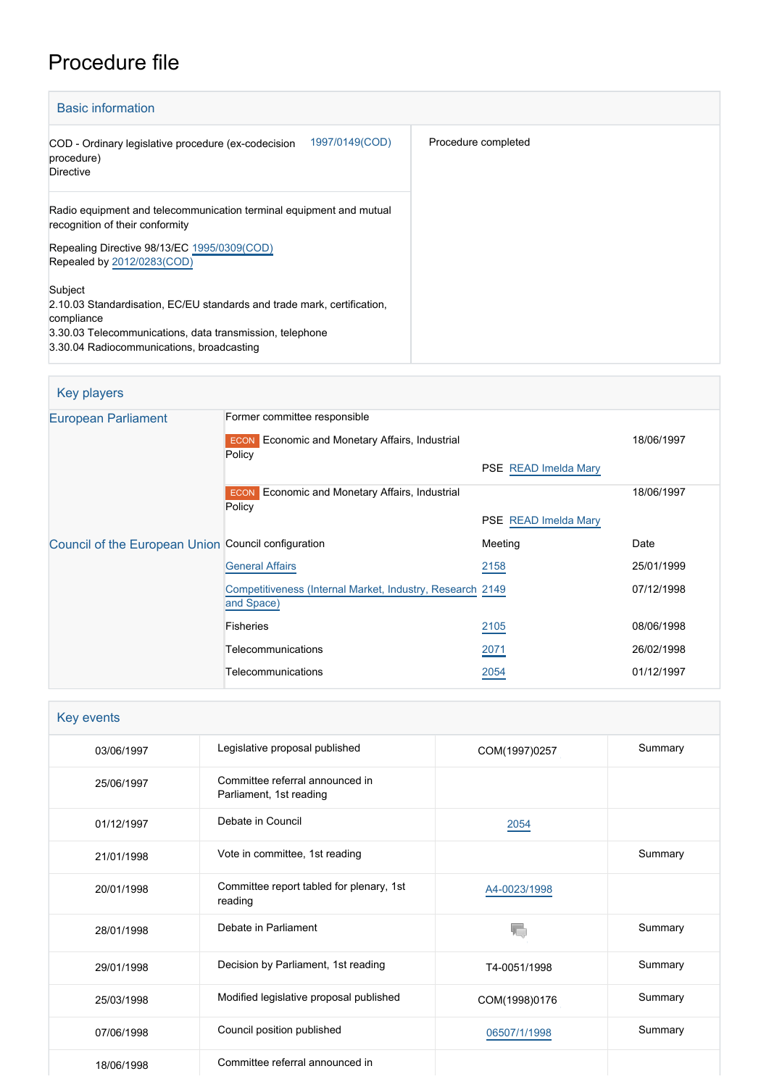# Procedure file

| <b>Basic information</b>                                                                                                                                                                                  |                     |
|-----------------------------------------------------------------------------------------------------------------------------------------------------------------------------------------------------------|---------------------|
| 1997/0149(COD)<br>COD - Ordinary legislative procedure (ex-codecision<br>procedure)<br>Directive                                                                                                          | Procedure completed |
| Radio equipment and telecommunication terminal equipment and mutual<br>recognition of their conformity                                                                                                    |                     |
| Repealing Directive 98/13/EC 1995/0309(COD)<br>Repealed by 2012/0283(COD)                                                                                                                                 |                     |
| Subject<br>2.10.03 Standardisation, EC/EU standards and trade mark, certification,<br>compliance<br>3.30.03 Telecommunications, data transmission, telephone<br>3.30.04 Radiocommunications, broadcasting |                     |

#### Key players [European Parliament](http://www.europarl.europa.eu/) Former committee responsible **ECON** Economic and Monetary Affairs, Industrial **Policy** PSE [READ Imelda Mary](http://www.europarl.europa.eu/meps/en/1302) 18/06/1997 **ECON** Economic and Monetary Affairs, Industrial **Policy** PSE [READ Imelda Mary](http://www.europarl.europa.eu/meps/en/1302) 18/06/1997 [Council of the European Union](http://www.consilium.europa.eu) Council configuration **Meeting** Meeting Date **[General Affairs](http://www.consilium.europa.eu/en/council-eu/configurations/gac?lang=en) [2158](http://register.consilium.europa.eu/content/out?lang=EN&typ=SET&i=SMPL&ROWSPP=25&RESULTSET=1&NRROWS=500&DOC_LANCD=EN&ORDERBY=DOC_DATE+DESC&CONTENTS=2158*&MEET_DATE=25/01/1999)** 2158 2158 25/01/1999 [Competitiveness \(Internal Market, Industry, Research](http://www.consilium.europa.eu/en/council-eu/configurations/compet?lang=en) 2149 [and Space\)](http://www.consilium.europa.eu/en/council-eu/configurations/compet?lang=en) 07/12/1998 Fisheries [2105](http://register.consilium.europa.eu/content/out?lang=EN&typ=SET&i=SMPL&ROWSPP=25&RESULTSET=1&NRROWS=500&DOC_LANCD=EN&ORDERBY=DOC_DATE+DESC&CONTENTS=2105*&MEET_DATE=08/06/1998) 08/06/1998 Telecommunications [2071](http://register.consilium.europa.eu/content/out?lang=EN&typ=SET&i=SMPL&ROWSPP=25&RESULTSET=1&NRROWS=500&DOC_LANCD=EN&ORDERBY=DOC_DATE+DESC&CONTENTS=2071*&MEET_DATE=26/02/1998) 2071 26/02/1998 Telecommunications [2054](http://register.consilium.europa.eu/content/out?lang=EN&typ=SET&i=SMPL&ROWSPP=25&RESULTSET=1&NRROWS=500&DOC_LANCD=EN&ORDERBY=DOC_DATE+DESC&CONTENTS=2054*&MEET_DATE=01/12/1997) 2054 01/12/1997

| Key events |                                                            |               |         |
|------------|------------------------------------------------------------|---------------|---------|
| 03/06/1997 | Legislative proposal published                             | COM(1997)0257 | Summary |
| 25/06/1997 | Committee referral announced in<br>Parliament, 1st reading |               |         |
| 01/12/1997 | Debate in Council                                          | 2054          |         |
| 21/01/1998 | Vote in committee, 1st reading                             |               | Summary |
| 20/01/1998 | Committee report tabled for plenary, 1st<br>reading        | A4-0023/1998  |         |
| 28/01/1998 | Debate in Parliament                                       | V.            | Summary |
| 29/01/1998 | Decision by Parliament, 1st reading                        | T4-0051/1998  | Summary |
| 25/03/1998 | Modified legislative proposal published                    | COM(1998)0176 | Summary |
| 07/06/1998 | Council position published                                 | 06507/1/1998  | Summary |
| 18/06/1998 | Committee referral announced in                            |               |         |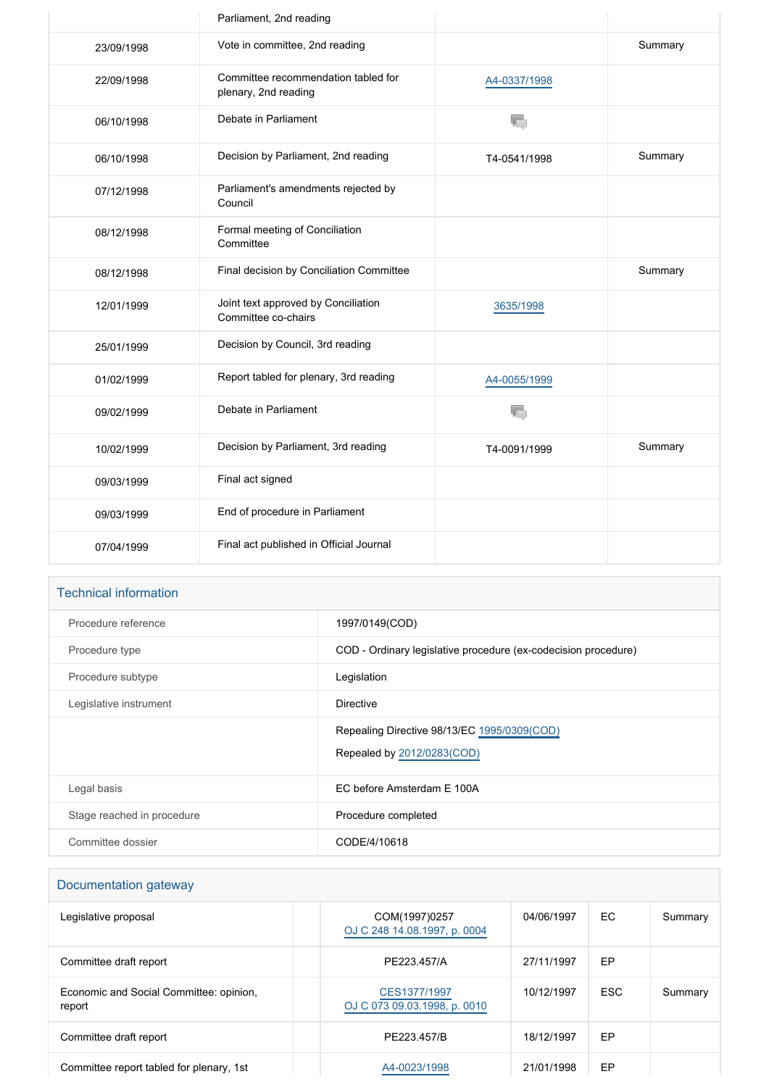|            | Parliament, 2nd reading                                     |              |         |
|------------|-------------------------------------------------------------|--------------|---------|
| 23/09/1998 | Vote in committee, 2nd reading                              |              | Summary |
| 22/09/1998 | Committee recommendation tabled for<br>plenary, 2nd reading | A4-0337/1998 |         |
| 06/10/1998 | Debate in Parliament                                        | T.           |         |
| 06/10/1998 | Decision by Parliament, 2nd reading                         | T4-0541/1998 | Summary |
| 07/12/1998 | Parliament's amendments rejected by<br>Council              |              |         |
| 08/12/1998 | Formal meeting of Conciliation<br>Committee                 |              |         |
| 08/12/1998 | Final decision by Conciliation Committee                    |              | Summary |
| 12/01/1999 | Joint text approved by Conciliation<br>Committee co-chairs  | 3635/1998    |         |
| 25/01/1999 | Decision by Council, 3rd reading                            |              |         |
| 01/02/1999 | Report tabled for plenary, 3rd reading                      | A4-0055/1999 |         |
| 09/02/1999 | Debate in Parliament                                        |              |         |
| 10/02/1999 | Decision by Parliament, 3rd reading                         | T4-0091/1999 | Summary |
| 09/03/1999 | Final act signed                                            |              |         |
| 09/03/1999 | End of procedure in Parliament                              |              |         |
| 07/04/1999 | Final act published in Official Journal                     |              |         |

### Technical information

| Procedure reference        | 1997/0149(COD)                                                            |
|----------------------------|---------------------------------------------------------------------------|
| Procedure type             | COD - Ordinary legislative procedure (ex-codecision procedure)            |
| Procedure subtype          | Legislation                                                               |
| Legislative instrument     | <b>Directive</b>                                                          |
|                            | Repealing Directive 98/13/EC 1995/0309(COD)<br>Repealed by 2012/0283(COD) |
| Legal basis                | EC before Amsterdam E 100A                                                |
| Stage reached in procedure | Procedure completed                                                       |
| Committee dossier          | CODE/4/10618                                                              |

| Documentation gateway                             |                                               |            |            |         |
|---------------------------------------------------|-----------------------------------------------|------------|------------|---------|
| Legislative proposal                              | COM(1997)0257<br>OJ C 248 14.08.1997, p. 0004 | 04/06/1997 | EC         | Summary |
| Committee draft report                            | PE223.457/A                                   | 27/11/1997 | EP         |         |
| Economic and Social Committee: opinion,<br>report | CES1377/1997<br>OJ C 073 09.03.1998, p. 0010  | 10/12/1997 | <b>ESC</b> | Summary |
| Committee draft report                            | PE223.457/B                                   | 18/12/1997 | EP         |         |
| Committee report tabled for plenary, 1st          | A4-0023/1998                                  | 21/01/1998 | EP         |         |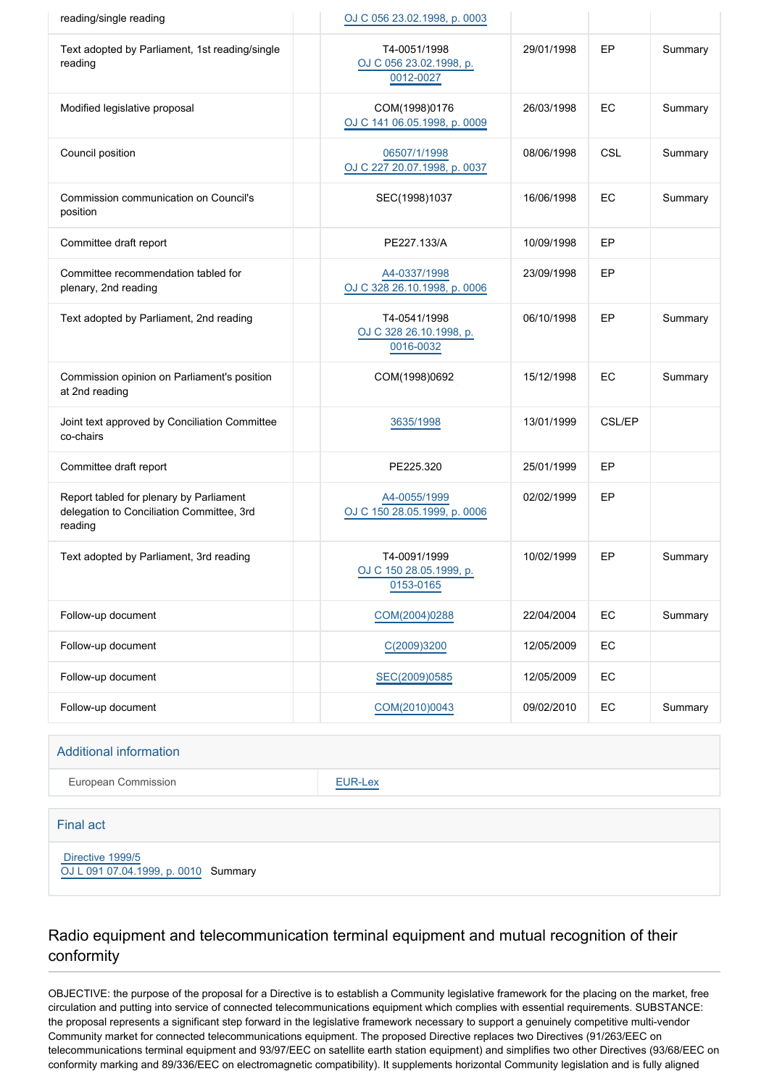| reading/single reading                                                                          | OJ C 056 23.02.1998, p. 0003                         |            |        |         |
|-------------------------------------------------------------------------------------------------|------------------------------------------------------|------------|--------|---------|
| Text adopted by Parliament, 1st reading/single<br>reading                                       | T4-0051/1998<br>OJ C 056 23.02.1998, p.<br>0012-0027 | 29/01/1998 | EP     | Summary |
| Modified legislative proposal                                                                   | COM(1998)0176<br>OJ C 141 06.05.1998, p. 0009        | 26/03/1998 | EC     | Summary |
| Council position                                                                                | 06507/1/1998<br>OJ C 227 20.07.1998, p. 0037         | 08/06/1998 | CSL    | Summary |
| Commission communication on Council's<br>position                                               | SEC(1998)1037                                        | 16/06/1998 | EC     | Summary |
| Committee draft report                                                                          | PE227.133/A                                          | 10/09/1998 | EP     |         |
| Committee recommendation tabled for<br>plenary, 2nd reading                                     | A4-0337/1998<br>OJ C 328 26.10.1998, p. 0006         | 23/09/1998 | EP     |         |
| Text adopted by Parliament, 2nd reading                                                         | T4-0541/1998<br>OJ C 328 26.10.1998, p.<br>0016-0032 | 06/10/1998 | EP     | Summary |
| Commission opinion on Parliament's position<br>at 2nd reading                                   | COM(1998)0692                                        | 15/12/1998 | EC     | Summary |
| Joint text approved by Conciliation Committee<br>co-chairs                                      | 3635/1998                                            | 13/01/1999 | CSL/EP |         |
| Committee draft report                                                                          | PE225.320                                            | 25/01/1999 | EP     |         |
| Report tabled for plenary by Parliament<br>delegation to Conciliation Committee, 3rd<br>reading | A4-0055/1999<br>OJ C 150 28.05.1999, p. 0006         | 02/02/1999 | EP     |         |
| Text adopted by Parliament, 3rd reading                                                         | T4-0091/1999<br>OJ C 150 28.05.1999, p.<br>0153-0165 | 10/02/1999 | EP     | Summary |
| Follow-up document                                                                              | COM(2004)0288                                        | 22/04/2004 | EC     | Summary |
| Follow-up document                                                                              | C(2009)3200                                          | 12/05/2009 | EC     |         |
| Follow-up document                                                                              | SEC(2009)0585                                        | 12/05/2009 | EC     |         |
| Follow-up document                                                                              | COM(2010)0043                                        | 09/02/2010 | EC     | Summary |

#### Additional information

European Commission **[EUR-Lex](http://ec.europa.eu/prelex/liste_resultats.cfm?CL=en&ReqId=0&DocType=COD&DocYear=1997&DocNum=0149)** 

#### Final act

 [Directive 1999/5](https://eur-lex.europa.eu/smartapi/cgi/sga_doc?smartapi!celexplus!prod!CELEXnumdoc&lg=EN&numdoc=31999L0005)

[OJ L 091 07.04.1999, p. 0010](https://eur-lex.europa.eu/legal-content/EN/TXT/?uri=OJ:L:1999:091:TOC) Summary

# Radio equipment and telecommunication terminal equipment and mutual recognition of their conformity

OBJECTIVE: the purpose of the proposal for a Directive is to establish a Community legislative framework for the placing on the market, free circulation and putting into service of connected telecommunications equipment which complies with essential requirements. SUBSTANCE: the proposal represents a significant step forward in the legislative framework necessary to support a genuinely competitive multi-vendor Community market for connected telecommunications equipment. The proposed Directive replaces two Directives (91/263/EEC on telecommunications terminal equipment and 93/97/EEC on satellite earth station equipment) and simplifies two other Directives (93/68/EEC on conformity marking and 89/336/EEC on electromagnetic compatibility). It supplements horizontal Community legislation and is fully aligned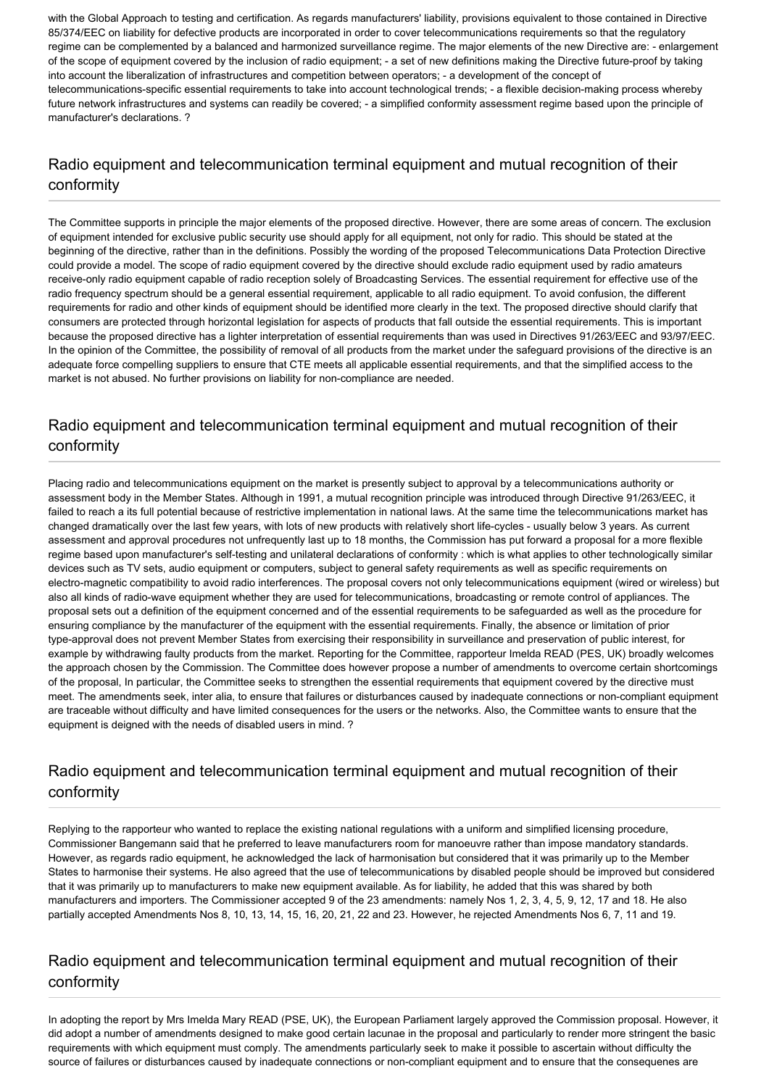with the Global Approach to testing and certification. As regards manufacturers' liability, provisions equivalent to those contained in Directive 85/374/EEC on liability for defective products are incorporated in order to cover telecommunications requirements so that the regulatory regime can be complemented by a balanced and harmonized surveillance regime. The major elements of the new Directive are: - enlargement of the scope of equipment covered by the inclusion of radio equipment; - a set of new definitions making the Directive future-proof by taking into account the liberalization of infrastructures and competition between operators; - a development of the concept of telecommunications-specific essential requirements to take into account technological trends; - a flexible decision-making process whereby future network infrastructures and systems can readily be covered; - a simplified conformity assessment regime based upon the principle of manufacturer's declarations. ?

# Radio equipment and telecommunication terminal equipment and mutual recognition of their conformity

The Committee supports in principle the major elements of the proposed directive. However, there are some areas of concern. The exclusion of equipment intended for exclusive public security use should apply for all equipment, not only for radio. This should be stated at the beginning of the directive, rather than in the definitions. Possibly the wording of the proposed Telecommunications Data Protection Directive could provide a model. The scope of radio equipment covered by the directive should exclude radio equipment used by radio amateurs receive-only radio equipment capable of radio reception solely of Broadcasting Services. The essential requirement for effective use of the radio frequency spectrum should be a general essential requirement, applicable to all radio equipment. To avoid confusion, the different requirements for radio and other kinds of equipment should be identified more clearly in the text. The proposed directive should clarify that consumers are protected through horizontal legislation for aspects of products that fall outside the essential requirements. This is important because the proposed directive has a lighter interpretation of essential requirements than was used in Directives 91/263/EEC and 93/97/EEC. In the opinion of the Committee, the possibility of removal of all products from the market under the safeguard provisions of the directive is an adequate force compelling suppliers to ensure that CTE meets all applicable essential requirements, and that the simplified access to the market is not abused. No further provisions on liability for non-compliance are needed.

# Radio equipment and telecommunication terminal equipment and mutual recognition of their conformity

Placing radio and telecommunications equipment on the market is presently subject to approval by a telecommunications authority or assessment body in the Member States. Although in 1991, a mutual recognition principle was introduced through Directive 91/263/EEC, it failed to reach a its full potential because of restrictive implementation in national laws. At the same time the telecommunications market has changed dramatically over the last few years, with lots of new products with relatively short life-cycles - usually below 3 years. As current assessment and approval procedures not unfrequently last up to 18 months, the Commission has put forward a proposal for a more flexible regime based upon manufacturer's self-testing and unilateral declarations of conformity : which is what applies to other technologically similar devices such as TV sets, audio equipment or computers, subject to general safety requirements as well as specific requirements on electro-magnetic compatibility to avoid radio interferences. The proposal covers not only telecommunications equipment (wired or wireless) but also all kinds of radio-wave equipment whether they are used for telecommunications, broadcasting or remote control of appliances. The proposal sets out a definition of the equipment concerned and of the essential requirements to be safeguarded as well as the procedure for ensuring compliance by the manufacturer of the equipment with the essential requirements. Finally, the absence or limitation of prior type-approval does not prevent Member States from exercising their responsibility in surveillance and preservation of public interest, for example by withdrawing faulty products from the market. Reporting for the Committee, rapporteur Imelda READ (PES, UK) broadly welcomes the approach chosen by the Commission. The Committee does however propose a number of amendments to overcome certain shortcomings of the proposal, In particular, the Committee seeks to strengthen the essential requirements that equipment covered by the directive must meet. The amendments seek, inter alia, to ensure that failures or disturbances caused by inadequate connections or non-compliant equipment are traceable without difficulty and have limited consequences for the users or the networks. Also, the Committee wants to ensure that the equipment is deigned with the needs of disabled users in mind. ?

# Radio equipment and telecommunication terminal equipment and mutual recognition of their conformity

Replying to the rapporteur who wanted to replace the existing national regulations with a uniform and simplified licensing procedure, Commissioner Bangemann said that he preferred to leave manufacturers room for manoeuvre rather than impose mandatory standards. However, as regards radio equipment, he acknowledged the lack of harmonisation but considered that it was primarily up to the Member States to harmonise their systems. He also agreed that the use of telecommunications by disabled people should be improved but considered that it was primarily up to manufacturers to make new equipment available. As for liability, he added that this was shared by both manufacturers and importers. The Commissioner accepted 9 of the 23 amendments: namely Nos 1, 2, 3, 4, 5, 9, 12, 17 and 18. He also partially accepted Amendments Nos 8, 10, 13, 14, 15, 16, 20, 21, 22 and 23. However, he rejected Amendments Nos 6, 7, 11 and 19.

# Radio equipment and telecommunication terminal equipment and mutual recognition of their conformity

In adopting the report by Mrs Imelda Mary READ (PSE, UK), the European Parliament largely approved the Commission proposal. However, it did adopt a number of amendments designed to make good certain lacunae in the proposal and particularly to render more stringent the basic requirements with which equipment must comply. The amendments particularly seek to make it possible to ascertain without difficulty the source of failures or disturbances caused by inadequate connections or non-compliant equipment and to ensure that the consequenes are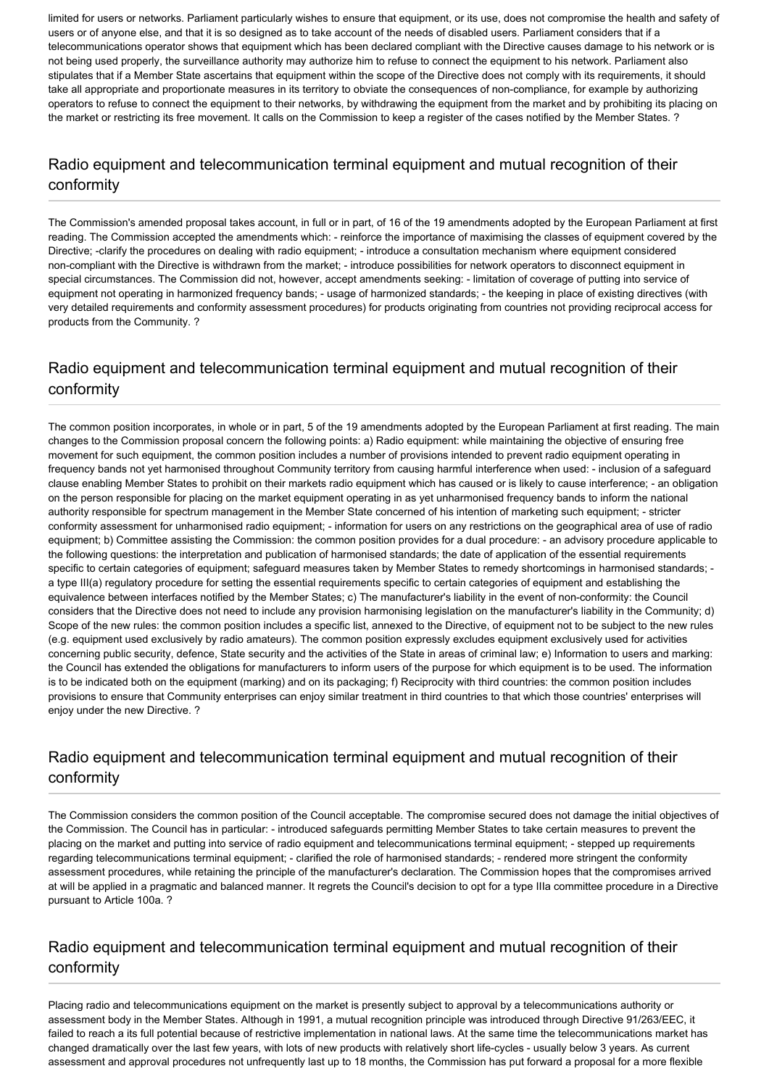limited for users or networks. Parliament particularly wishes to ensure that equipment, or its use, does not compromise the health and safety of users or of anyone else, and that it is so designed as to take account of the needs of disabled users. Parliament considers that if a telecommunications operator shows that equipment which has been declared compliant with the Directive causes damage to his network or is not being used properly, the surveillance authority may authorize him to refuse to connect the equipment to his network. Parliament also stipulates that if a Member State ascertains that equipment within the scope of the Directive does not comply with its requirements, it should take all appropriate and proportionate measures in its territory to obviate the consequences of non-compliance, for example by authorizing operators to refuse to connect the equipment to their networks, by withdrawing the equipment from the market and by prohibiting its placing on the market or restricting its free movement. It calls on the Commission to keep a register of the cases notified by the Member States. ?

# Radio equipment and telecommunication terminal equipment and mutual recognition of their conformity

The Commission's amended proposal takes account, in full or in part, of 16 of the 19 amendments adopted by the European Parliament at first reading. The Commission accepted the amendments which: - reinforce the importance of maximising the classes of equipment covered by the Directive; -clarify the procedures on dealing with radio equipment; - introduce a consultation mechanism where equipment considered non-compliant with the Directive is withdrawn from the market; - introduce possibilities for network operators to disconnect equipment in special circumstances. The Commission did not, however, accept amendments seeking: - limitation of coverage of putting into service of equipment not operating in harmonized frequency bands; - usage of harmonized standards; - the keeping in place of existing directives (with very detailed requirements and conformity assessment procedures) for products originating from countries not providing reciprocal access for products from the Community. ?

# Radio equipment and telecommunication terminal equipment and mutual recognition of their conformity

The common position incorporates, in whole or in part, 5 of the 19 amendments adopted by the European Parliament at first reading. The main changes to the Commission proposal concern the following points: a) Radio equipment: while maintaining the objective of ensuring free movement for such equipment, the common position includes a number of provisions intended to prevent radio equipment operating in frequency bands not yet harmonised throughout Community territory from causing harmful interference when used: - inclusion of a safeguard clause enabling Member States to prohibit on their markets radio equipment which has caused or is likely to cause interference; - an obligation on the person responsible for placing on the market equipment operating in as yet unharmonised frequency bands to inform the national authority responsible for spectrum management in the Member State concerned of his intention of marketing such equipment; - stricter conformity assessment for unharmonised radio equipment; - information for users on any restrictions on the geographical area of use of radio equipment; b) Committee assisting the Commission: the common position provides for a dual procedure: - an advisory procedure applicable to the following questions: the interpretation and publication of harmonised standards; the date of application of the essential requirements specific to certain categories of equipment; safeguard measures taken by Member States to remedy shortcomings in harmonised standards; a type III(a) regulatory procedure for setting the essential requirements specific to certain categories of equipment and establishing the equivalence between interfaces notified by the Member States; c) The manufacturer's liability in the event of non-conformity: the Council considers that the Directive does not need to include any provision harmonising legislation on the manufacturer's liability in the Community; d) Scope of the new rules: the common position includes a specific list, annexed to the Directive, of equipment not to be subject to the new rules (e.g. equipment used exclusively by radio amateurs). The common position expressly excludes equipment exclusively used for activities concerning public security, defence, State security and the activities of the State in areas of criminal law; e) Information to users and marking: the Council has extended the obligations for manufacturers to inform users of the purpose for which equipment is to be used. The information is to be indicated both on the equipment (marking) and on its packaging; f) Reciprocity with third countries: the common position includes provisions to ensure that Community enterprises can enjoy similar treatment in third countries to that which those countries' enterprises will enjoy under the new Directive. ?

# Radio equipment and telecommunication terminal equipment and mutual recognition of their conformity

The Commission considers the common position of the Council acceptable. The compromise secured does not damage the initial objectives of the Commission. The Council has in particular: - introduced safeguards permitting Member States to take certain measures to prevent the placing on the market and putting into service of radio equipment and telecommunications terminal equipment; - stepped up requirements regarding telecommunications terminal equipment; - clarified the role of harmonised standards; - rendered more stringent the conformity assessment procedures, while retaining the principle of the manufacturer's declaration. The Commission hopes that the compromises arrived at will be applied in a pragmatic and balanced manner. It regrets the Council's decision to opt for a type IIIa committee procedure in a Directive pursuant to Article 100a. ?

# Radio equipment and telecommunication terminal equipment and mutual recognition of their conformity

Placing radio and telecommunications equipment on the market is presently subject to approval by a telecommunications authority or assessment body in the Member States. Although in 1991, a mutual recognition principle was introduced through Directive 91/263/EEC, it failed to reach a its full potential because of restrictive implementation in national laws. At the same time the telecommunications market has changed dramatically over the last few years, with lots of new products with relatively short life-cycles - usually below 3 years. As current assessment and approval procedures not unfrequently last up to 18 months, the Commission has put forward a proposal for a more flexible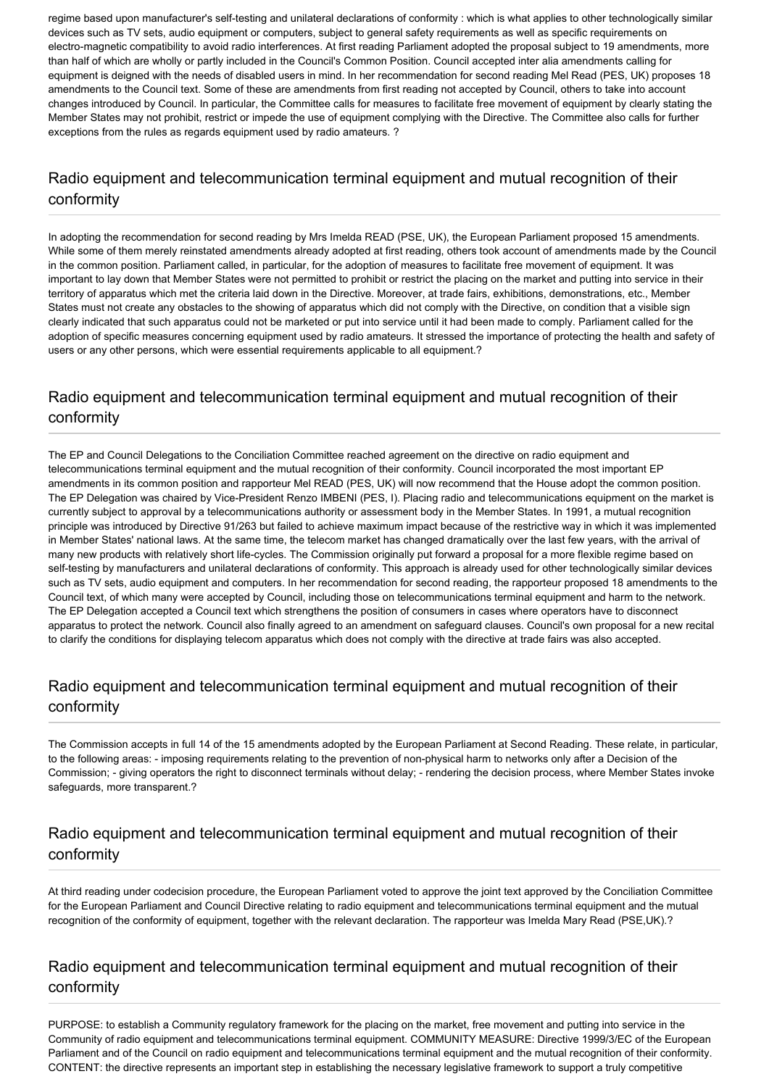regime based upon manufacturer's self-testing and unilateral declarations of conformity : which is what applies to other technologically similar devices such as TV sets, audio equipment or computers, subject to general safety requirements as well as specific requirements on electro-magnetic compatibility to avoid radio interferences. At first reading Parliament adopted the proposal subject to 19 amendments, more than half of which are wholly or partly included in the Council's Common Position. Council accepted inter alia amendments calling for equipment is deigned with the needs of disabled users in mind. In her recommendation for second reading Mel Read (PES, UK) proposes 18 amendments to the Council text. Some of these are amendments from first reading not accepted by Council, others to take into account changes introduced by Council. In particular, the Committee calls for measures to facilitate free movement of equipment by clearly stating the Member States may not prohibit, restrict or impede the use of equipment complying with the Directive. The Committee also calls for further exceptions from the rules as regards equipment used by radio amateurs. ?

# Radio equipment and telecommunication terminal equipment and mutual recognition of their conformity

In adopting the recommendation for second reading by Mrs Imelda READ (PSE, UK), the European Parliament proposed 15 amendments. While some of them merely reinstated amendments already adopted at first reading, others took account of amendments made by the Council in the common position. Parliament called, in particular, for the adoption of measures to facilitate free movement of equipment. It was important to lay down that Member States were not permitted to prohibit or restrict the placing on the market and putting into service in their territory of apparatus which met the criteria laid down in the Directive. Moreover, at trade fairs, exhibitions, demonstrations, etc., Member States must not create any obstacles to the showing of apparatus which did not comply with the Directive, on condition that a visible sign clearly indicated that such apparatus could not be marketed or put into service until it had been made to comply. Parliament called for the adoption of specific measures concerning equipment used by radio amateurs. It stressed the importance of protecting the health and safety of users or any other persons, which were essential requirements applicable to all equipment.?

# Radio equipment and telecommunication terminal equipment and mutual recognition of their conformity

The EP and Council Delegations to the Conciliation Committee reached agreement on the directive on radio equipment and telecommunications terminal equipment and the mutual recognition of their conformity. Council incorporated the most important EP amendments in its common position and rapporteur Mel READ (PES, UK) will now recommend that the House adopt the common position. The EP Delegation was chaired by Vice-President Renzo IMBENI (PES, I). Placing radio and telecommunications equipment on the market is currently subject to approval by a telecommunications authority or assessment body in the Member States. In 1991, a mutual recognition principle was introduced by Directive 91/263 but failed to achieve maximum impact because of the restrictive way in which it was implemented in Member States' national laws. At the same time, the telecom market has changed dramatically over the last few years, with the arrival of many new products with relatively short life-cycles. The Commission originally put forward a proposal for a more flexible regime based on self-testing by manufacturers and unilateral declarations of conformity. This approach is already used for other technologically similar devices such as TV sets, audio equipment and computers. In her recommendation for second reading, the rapporteur proposed 18 amendments to the Council text, of which many were accepted by Council, including those on telecommunications terminal equipment and harm to the network. The EP Delegation accepted a Council text which strengthens the position of consumers in cases where operators have to disconnect apparatus to protect the network. Council also finally agreed to an amendment on safeguard clauses. Council's own proposal for a new recital to clarify the conditions for displaying telecom apparatus which does not comply with the directive at trade fairs was also accepted.

# Radio equipment and telecommunication terminal equipment and mutual recognition of their conformity

The Commission accepts in full 14 of the 15 amendments adopted by the European Parliament at Second Reading. These relate, in particular, to the following areas: - imposing requirements relating to the prevention of non-physical harm to networks only after a Decision of the Commission; - giving operators the right to disconnect terminals without delay; - rendering the decision process, where Member States invoke safeguards, more transparent.?

# Radio equipment and telecommunication terminal equipment and mutual recognition of their conformity

At third reading under codecision procedure, the European Parliament voted to approve the joint text approved by the Conciliation Committee for the European Parliament and Council Directive relating to radio equipment and telecommunications terminal equipment and the mutual recognition of the conformity of equipment, together with the relevant declaration. The rapporteur was Imelda Mary Read (PSE,UK).?

# Radio equipment and telecommunication terminal equipment and mutual recognition of their conformity

PURPOSE: to establish a Community regulatory framework for the placing on the market, free movement and putting into service in the Community of radio equipment and telecommunications terminal equipment. COMMUNITY MEASURE: Directive 1999/3/EC of the European Parliament and of the Council on radio equipment and telecommunications terminal equipment and the mutual recognition of their conformity. CONTENT: the directive represents an important step in establishing the necessary legislative framework to support a truly competitive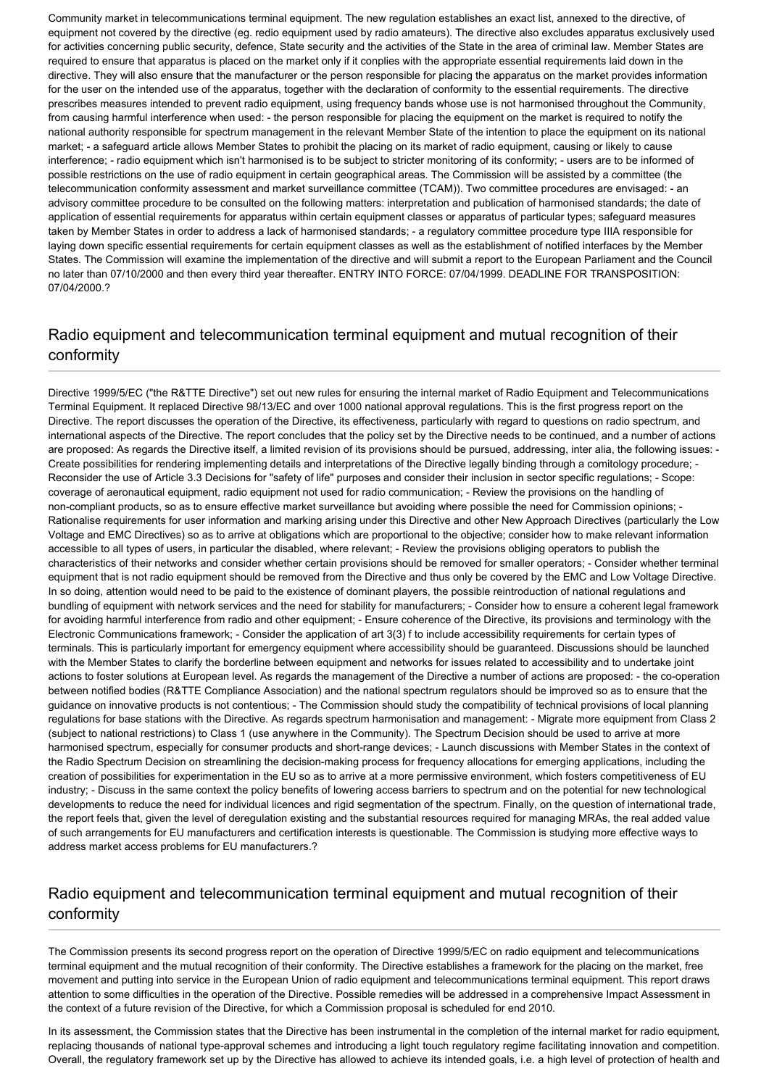Community market in telecommunications terminal equipment. The new regulation establishes an exact list, annexed to the directive, of equipment not covered by the directive (eg. redio equipment used by radio amateurs). The directive also excludes apparatus exclusively used for activities concerning public security, defence, State security and the activities of the State in the area of criminal law. Member States are required to ensure that apparatus is placed on the market only if it conplies with the appropriate essential requirements laid down in the directive. They will also ensure that the manufacturer or the person responsible for placing the apparatus on the market provides information for the user on the intended use of the apparatus, together with the declaration of conformity to the essential requirements. The directive prescribes measures intended to prevent radio equipment, using frequency bands whose use is not harmonised throughout the Community, from causing harmful interference when used: - the person responsible for placing the equipment on the market is required to notify the national authority responsible for spectrum management in the relevant Member State of the intention to place the equipment on its national market; - a safeguard article allows Member States to prohibit the placing on its market of radio equipment, causing or likely to cause interference; - radio equipment which isn't harmonised is to be subject to stricter monitoring of its conformity; - users are to be informed of possible restrictions on the use of radio equipment in certain geographical areas. The Commission will be assisted by a committee (the telecommunication conformity assessment and market surveillance committee (TCAM)). Two committee procedures are envisaged: - an advisory committee procedure to be consulted on the following matters: interpretation and publication of harmonised standards; the date of application of essential requirements for apparatus within certain equipment classes or apparatus of particular types; safeguard measures taken by Member States in order to address a lack of harmonised standards; - a regulatory committee procedure type IIIA responsible for laying down specific essential requirements for certain equipment classes as well as the establishment of notified interfaces by the Member States. The Commission will examine the implementation of the directive and will submit a report to the European Parliament and the Council no later than 07/10/2000 and then every third year thereafter. ENTRY INTO FORCE: 07/04/1999. DEADLINE FOR TRANSPOSITION: 07/04/2000.?

# Radio equipment and telecommunication terminal equipment and mutual recognition of their conformity

Directive 1999/5/EC ("the R&TTE Directive") set out new rules for ensuring the internal market of Radio Equipment and Telecommunications Terminal Equipment. It replaced Directive 98/13/EC and over 1000 national approval regulations. This is the first progress report on the Directive. The report discusses the operation of the Directive, its effectiveness, particularly with regard to questions on radio spectrum, and international aspects of the Directive. The report concludes that the policy set by the Directive needs to be continued, and a number of actions are proposed: As regards the Directive itself, a limited revision of its provisions should be pursued, addressing, inter alia, the following issues: - Create possibilities for rendering implementing details and interpretations of the Directive legally binding through a comitology procedure; - Reconsider the use of Article 3.3 Decisions for "safety of life" purposes and consider their inclusion in sector specific regulations; - Scope: coverage of aeronautical equipment, radio equipment not used for radio communication; - Review the provisions on the handling of non-compliant products, so as to ensure effective market surveillance but avoiding where possible the need for Commission opinions; -Rationalise requirements for user information and marking arising under this Directive and other New Approach Directives (particularly the Low Voltage and EMC Directives) so as to arrive at obligations which are proportional to the objective; consider how to make relevant information accessible to all types of users, in particular the disabled, where relevant; - Review the provisions obliging operators to publish the characteristics of their networks and consider whether certain provisions should be removed for smaller operators; - Consider whether terminal equipment that is not radio equipment should be removed from the Directive and thus only be covered by the EMC and Low Voltage Directive. In so doing, attention would need to be paid to the existence of dominant players, the possible reintroduction of national regulations and bundling of equipment with network services and the need for stability for manufacturers; - Consider how to ensure a coherent legal framework for avoiding harmful interference from radio and other equipment; - Ensure coherence of the Directive, its provisions and terminology with the Electronic Communications framework; - Consider the application of art 3(3) f to include accessibility requirements for certain types of terminals. This is particularly important for emergency equipment where accessibility should be guaranteed. Discussions should be launched with the Member States to clarify the borderline between equipment and networks for issues related to accessibility and to undertake joint actions to foster solutions at European level. As regards the management of the Directive a number of actions are proposed: - the co-operation between notified bodies (R&TTE Compliance Association) and the national spectrum regulators should be improved so as to ensure that the guidance on innovative products is not contentious; - The Commission should study the compatibility of technical provisions of local planning regulations for base stations with the Directive. As regards spectrum harmonisation and management: - Migrate more equipment from Class 2 (subject to national restrictions) to Class 1 (use anywhere in the Community). The Spectrum Decision should be used to arrive at more harmonised spectrum, especially for consumer products and short-range devices; - Launch discussions with Member States in the context of the Radio Spectrum Decision on streamlining the decision-making process for frequency allocations for emerging applications, including the creation of possibilities for experimentation in the EU so as to arrive at a more permissive environment, which fosters competitiveness of EU industry; - Discuss in the same context the policy benefits of lowering access barriers to spectrum and on the potential for new technological developments to reduce the need for individual licences and rigid segmentation of the spectrum. Finally, on the question of international trade, the report feels that, given the level of deregulation existing and the substantial resources required for managing MRAs, the real added value of such arrangements for EU manufacturers and certification interests is questionable. The Commission is studying more effective ways to address market access problems for EU manufacturers.?

# Radio equipment and telecommunication terminal equipment and mutual recognition of their conformity

The Commission presents its second progress report on the operation of Directive 1999/5/EC on radio equipment and telecommunications terminal equipment and the mutual recognition of their conformity. The Directive establishes a framework for the placing on the market, free movement and putting into service in the European Union of radio equipment and telecommunications terminal equipment. This report draws attention to some difficulties in the operation of the Directive. Possible remedies will be addressed in a comprehensive Impact Assessment in the context of a future revision of the Directive, for which a Commission proposal is scheduled for end 2010.

In its assessment, the Commission states that the Directive has been instrumental in the completion of the internal market for radio equipment, replacing thousands of national type-approval schemes and introducing a light touch regulatory regime facilitating innovation and competition. Overall, the regulatory framework set up by the Directive has allowed to achieve its intended goals, i.e. a high level of protection of health and